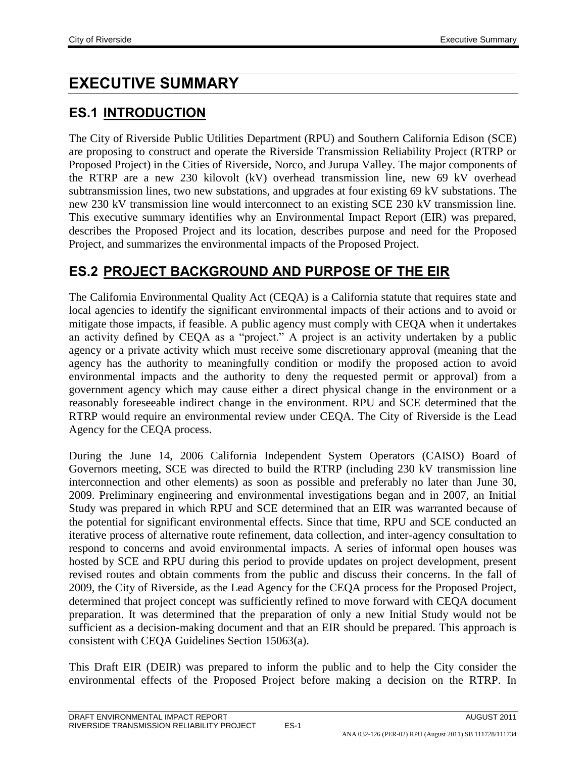# **EXECUTIVE SUMMARY**

# **ES.1 INTRODUCTION**

The City of Riverside Public Utilities Department (RPU) and Southern California Edison (SCE) are proposing to construct and operate the Riverside Transmission Reliability Project (RTRP or Proposed Project) in the Cities of Riverside, Norco, and Jurupa Valley. The major components of the RTRP are a new 230 kilovolt (kV) overhead transmission line, new 69 kV overhead subtransmission lines, two new substations, and upgrades at four existing 69 kV substations. The new 230 kV transmission line would interconnect to an existing SCE 230 kV transmission line. This executive summary identifies why an Environmental Impact Report (EIR) was prepared, describes the Proposed Project and its location, describes purpose and need for the Proposed Project, and summarizes the environmental impacts of the Proposed Project.

# **ES.2 PROJECT BACKGROUND AND PURPOSE OF THE EIR**

The California Environmental Quality Act (CEQA) is a California statute that requires state and local agencies to identify the significant environmental impacts of their actions and to avoid or mitigate those impacts, if feasible. A public agency must comply with CEQA when it undertakes an activity defined by CEQA as a "project." A project is an activity undertaken by a public agency or a private activity which must receive some discretionary approval (meaning that the agency has the authority to meaningfully condition or modify the proposed action to avoid environmental impacts and the authority to deny the requested permit or approval) from a government agency which may cause either a direct physical change in the environment or a reasonably foreseeable indirect change in the environment. RPU and SCE determined that the RTRP would require an environmental review under CEQA. The City of Riverside is the Lead Agency for the CEQA process.

During the June 14, 2006 California Independent System Operators (CAISO) Board of Governors meeting, SCE was directed to build the RTRP (including 230 kV transmission line interconnection and other elements) as soon as possible and preferably no later than June 30, 2009. Preliminary engineering and environmental investigations began and in 2007, an Initial Study was prepared in which RPU and SCE determined that an EIR was warranted because of the potential for significant environmental effects. Since that time, RPU and SCE conducted an iterative process of alternative route refinement, data collection, and inter-agency consultation to respond to concerns and avoid environmental impacts. A series of informal open houses was hosted by SCE and RPU during this period to provide updates on project development, present revised routes and obtain comments from the public and discuss their concerns. In the fall of 2009, the City of Riverside, as the Lead Agency for the CEQA process for the Proposed Project, determined that project concept was sufficiently refined to move forward with CEQA document preparation. It was determined that the preparation of only a new Initial Study would not be sufficient as a decision-making document and that an EIR should be prepared. This approach is consistent with CEQA Guidelines Section 15063(a).

This Draft EIR (DEIR) was prepared to inform the public and to help the City consider the environmental effects of the Proposed Project before making a decision on the RTRP. In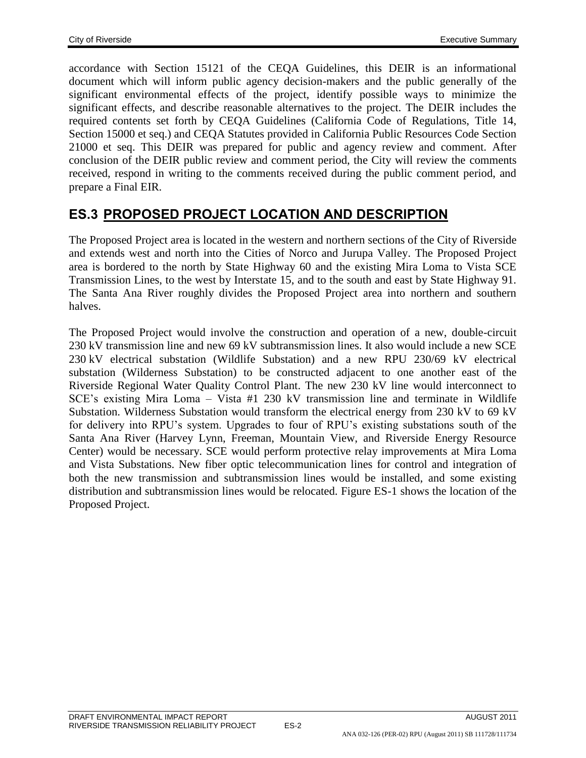accordance with Section 15121 of the CEQA Guidelines, this DEIR is an informational document which will inform public agency decision-makers and the public generally of the significant environmental effects of the project, identify possible ways to minimize the significant effects, and describe reasonable alternatives to the project. The DEIR includes the required contents set forth by CEQA Guidelines (California Code of Regulations, Title 14, Section 15000 et seq.) and CEQA Statutes provided in California Public Resources Code Section 21000 et seq. This DEIR was prepared for public and agency review and comment. After conclusion of the DEIR public review and comment period, the City will review the comments received, respond in writing to the comments received during the public comment period, and prepare a Final EIR.

## **ES.3 PROPOSED PROJECT LOCATION AND DESCRIPTION**

The Proposed Project area is located in the western and northern sections of the City of Riverside and extends west and north into the Cities of Norco and Jurupa Valley. The Proposed Project area is bordered to the north by State Highway 60 and the existing Mira Loma to Vista SCE Transmission Lines, to the west by Interstate 15, and to the south and east by State Highway 91. The Santa Ana River roughly divides the Proposed Project area into northern and southern halves.

The Proposed Project would involve the construction and operation of a new, double-circuit 230 kV transmission line and new 69 kV subtransmission lines. It also would include a new SCE 230 kV electrical substation (Wildlife Substation) and a new RPU 230/69 kV electrical substation (Wilderness Substation) to be constructed adjacent to one another east of the Riverside Regional Water Quality Control Plant. The new 230 kV line would interconnect to SCE's existing Mira Loma – Vista #1 230 kV transmission line and terminate in Wildlife Substation. Wilderness Substation would transform the electrical energy from 230 kV to 69 kV for delivery into RPU's system. Upgrades to four of RPU's existing substations south of the Santa Ana River (Harvey Lynn, Freeman, Mountain View, and Riverside Energy Resource Center) would be necessary. SCE would perform protective relay improvements at Mira Loma and Vista Substations. New fiber optic telecommunication lines for control and integration of both the new transmission and subtransmission lines would be installed, and some existing distribution and subtransmission lines would be relocated. Figure ES-1 shows the location of the Proposed Project.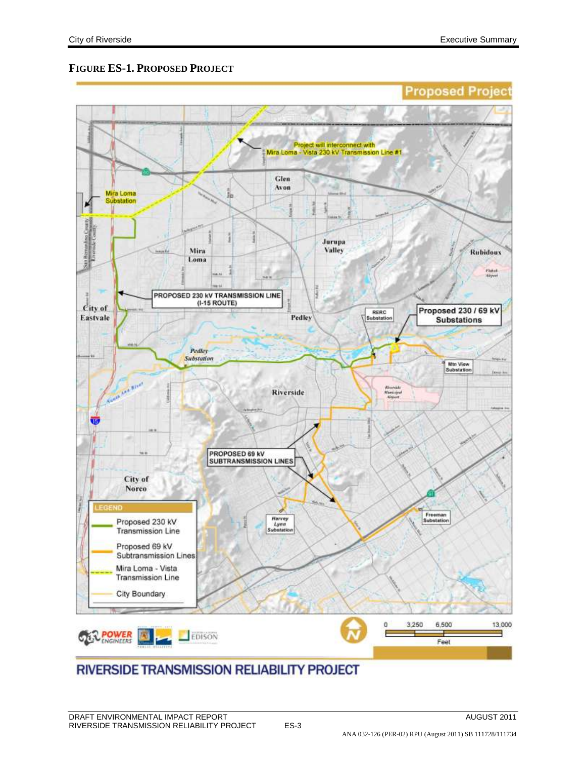#### **FIGURE ES-1. PROPOSED PROJECT**



## **RIVERSIDE TRANSMISSION RELIABILITY PROJECT**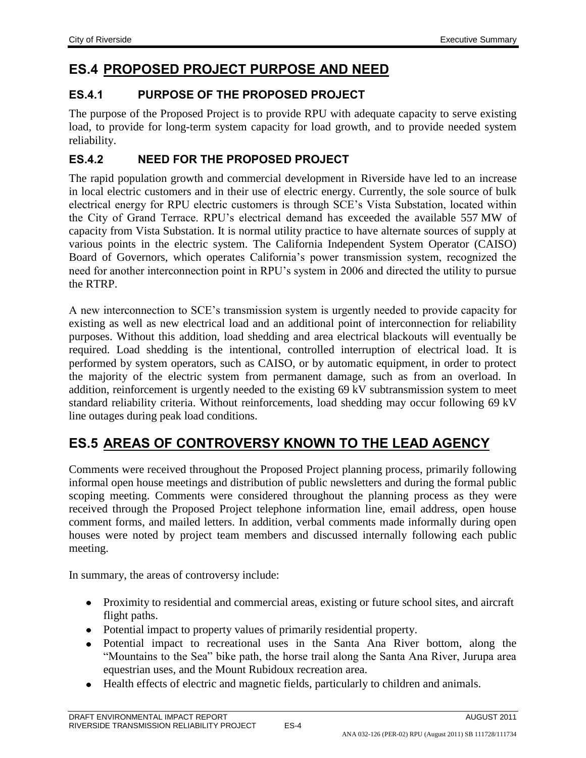## **ES.4 PROPOSED PROJECT PURPOSE AND NEED**

#### **ES.4.1 PURPOSE OF THE PROPOSED PROJECT**

The purpose of the Proposed Project is to provide RPU with adequate capacity to serve existing load, to provide for long-term system capacity for load growth, and to provide needed system reliability.

#### **ES.4.2 NEED FOR THE PROPOSED PROJECT**

The rapid population growth and commercial development in Riverside have led to an increase in local electric customers and in their use of electric energy. Currently, the sole source of bulk electrical energy for RPU electric customers is through SCE's Vista Substation, located within the City of Grand Terrace. RPU's electrical demand has exceeded the available 557 MW of capacity from Vista Substation. It is normal utility practice to have alternate sources of supply at various points in the electric system. The California Independent System Operator (CAISO) Board of Governors, which operates California's power transmission system, recognized the need for another interconnection point in RPU's system in 2006 and directed the utility to pursue the RTRP.

A new interconnection to SCE's transmission system is urgently needed to provide capacity for existing as well as new electrical load and an additional point of interconnection for reliability purposes. Without this addition, load shedding and area electrical blackouts will eventually be required. Load shedding is the intentional, controlled interruption of electrical load. It is performed by system operators, such as CAISO, or by automatic equipment, in order to protect the majority of the electric system from permanent damage, such as from an overload. In addition, reinforcement is urgently needed to the existing 69 kV subtransmission system to meet standard reliability criteria. Without reinforcements, load shedding may occur following 69 kV line outages during peak load conditions.

# **ES.5 AREAS OF CONTROVERSY KNOWN TO THE LEAD AGENCY**

Comments were received throughout the Proposed Project planning process, primarily following informal open house meetings and distribution of public newsletters and during the formal public scoping meeting. Comments were considered throughout the planning process as they were received through the Proposed Project telephone information line, email address, open house comment forms, and mailed letters. In addition, verbal comments made informally during open houses were noted by project team members and discussed internally following each public meeting.

In summary, the areas of controversy include:

- Proximity to residential and commercial areas, existing or future school sites, and aircraft flight paths.
- Potential impact to property values of primarily residential property.
- Potential impact to recreational uses in the Santa Ana River bottom, along the "Mountains to the Sea" bike path, the horse trail along the Santa Ana River, Jurupa area equestrian uses, and the Mount Rubidoux recreation area.
- Health effects of electric and magnetic fields, particularly to children and animals.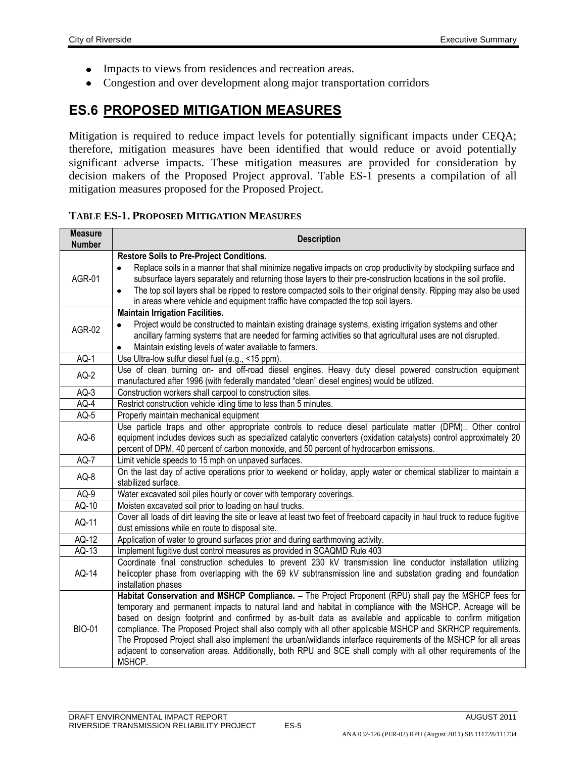- Impacts to views from residences and recreation areas.  $\bullet$
- $\bullet$ Congestion and over development along major transportation corridors

## **ES.6 PROPOSED MITIGATION MEASURES**

Mitigation is required to reduce impact levels for potentially significant impacts under CEQA; therefore, mitigation measures have been identified that would reduce or avoid potentially significant adverse impacts. These mitigation measures are provided for consideration by decision makers of the Proposed Project approval. Table ES-1 presents a compilation of all mitigation measures proposed for the Proposed Project.

#### **TABLE ES-1. PROPOSED MITIGATION MEASURES**

| <b>Measure</b><br><b>Number</b> | <b>Description</b>                                                                                                                                                                                                                                                                                                                                                                                                                                                                                                                                                                                                                                                                             |  |
|---------------------------------|------------------------------------------------------------------------------------------------------------------------------------------------------------------------------------------------------------------------------------------------------------------------------------------------------------------------------------------------------------------------------------------------------------------------------------------------------------------------------------------------------------------------------------------------------------------------------------------------------------------------------------------------------------------------------------------------|--|
|                                 | <b>Restore Soils to Pre-Project Conditions.</b>                                                                                                                                                                                                                                                                                                                                                                                                                                                                                                                                                                                                                                                |  |
| <b>AGR-01</b>                   | Replace soils in a manner that shall minimize negative impacts on crop productivity by stockpiling surface and<br>$\bullet$<br>subsurface layers separately and returning those layers to their pre-construction locations in the soil profile.<br>The top soil layers shall be ripped to restore compacted soils to their original density. Ripping may also be used<br>$\bullet$<br>in areas where vehicle and equipment traffic have compacted the top soil layers.                                                                                                                                                                                                                         |  |
|                                 | <b>Maintain Irrigation Facilities.</b>                                                                                                                                                                                                                                                                                                                                                                                                                                                                                                                                                                                                                                                         |  |
| <b>AGR-02</b>                   | Project would be constructed to maintain existing drainage systems, existing irrigation systems and other<br>$\bullet$<br>ancillary farming systems that are needed for farming activities so that agricultural uses are not disrupted.<br>Maintain existing levels of water available to farmers.<br>٠                                                                                                                                                                                                                                                                                                                                                                                        |  |
| $AQ-1$                          | Use Ultra-low sulfur diesel fuel (e.g., <15 ppm).                                                                                                                                                                                                                                                                                                                                                                                                                                                                                                                                                                                                                                              |  |
| $AQ-2$                          | Use of clean burning on- and off-road diesel engines. Heavy duty diesel powered construction equipment<br>manufactured after 1996 (with federally mandated "clean" diesel engines) would be utilized.                                                                                                                                                                                                                                                                                                                                                                                                                                                                                          |  |
| $AQ-3$                          | Construction workers shall carpool to construction sites.                                                                                                                                                                                                                                                                                                                                                                                                                                                                                                                                                                                                                                      |  |
| $AQ-4$                          | Restrict construction vehicle idling time to less than 5 minutes.                                                                                                                                                                                                                                                                                                                                                                                                                                                                                                                                                                                                                              |  |
| $AQ-5$                          | Properly maintain mechanical equipment                                                                                                                                                                                                                                                                                                                                                                                                                                                                                                                                                                                                                                                         |  |
| AQ-6                            | Use particle traps and other appropriate controls to reduce diesel particulate matter (DPM) Other control<br>equipment includes devices such as specialized catalytic converters (oxidation catalysts) control approximately 20<br>percent of DPM, 40 percent of carbon monoxide, and 50 percent of hydrocarbon emissions.                                                                                                                                                                                                                                                                                                                                                                     |  |
| $AQ-7$                          | Limit vehicle speeds to 15 mph on unpaved surfaces.                                                                                                                                                                                                                                                                                                                                                                                                                                                                                                                                                                                                                                            |  |
| AQ-8                            | On the last day of active operations prior to weekend or holiday, apply water or chemical stabilizer to maintain a<br>stabilized surface.                                                                                                                                                                                                                                                                                                                                                                                                                                                                                                                                                      |  |
| $AQ-9$                          | Water excavated soil piles hourly or cover with temporary coverings.                                                                                                                                                                                                                                                                                                                                                                                                                                                                                                                                                                                                                           |  |
| AQ-10                           | Moisten excavated soil prior to loading on haul trucks.                                                                                                                                                                                                                                                                                                                                                                                                                                                                                                                                                                                                                                        |  |
| AQ-11                           | Cover all loads of dirt leaving the site or leave at least two feet of freeboard capacity in haul truck to reduce fugitive<br>dust emissions while en route to disposal site.                                                                                                                                                                                                                                                                                                                                                                                                                                                                                                                  |  |
| AQ-12                           | Application of water to ground surfaces prior and during earthmoving activity.                                                                                                                                                                                                                                                                                                                                                                                                                                                                                                                                                                                                                 |  |
| AQ-13                           | Implement fugitive dust control measures as provided in SCAQMD Rule 403                                                                                                                                                                                                                                                                                                                                                                                                                                                                                                                                                                                                                        |  |
| AQ-14                           | Coordinate final construction schedules to prevent 230 kV transmission line conductor installation utilizing<br>helicopter phase from overlapping with the 69 kV subtransmission line and substation grading and foundation<br>installation phases                                                                                                                                                                                                                                                                                                                                                                                                                                             |  |
| <b>BIO-01</b>                   | Habitat Conservation and MSHCP Compliance. - The Project Proponent (RPU) shall pay the MSHCP fees for<br>temporary and permanent impacts to natural land and habitat in compliance with the MSHCP. Acreage will be<br>based on design footprint and confirmed by as-built data as available and applicable to confirm mitigation<br>compliance. The Proposed Project shall also comply with all other applicable MSHCP and SKRHCP requirements.<br>The Proposed Project shall also implement the urban/wildlands interface requirements of the MSHCP for all areas<br>adjacent to conservation areas. Additionally, both RPU and SCE shall comply with all other requirements of the<br>MSHCP. |  |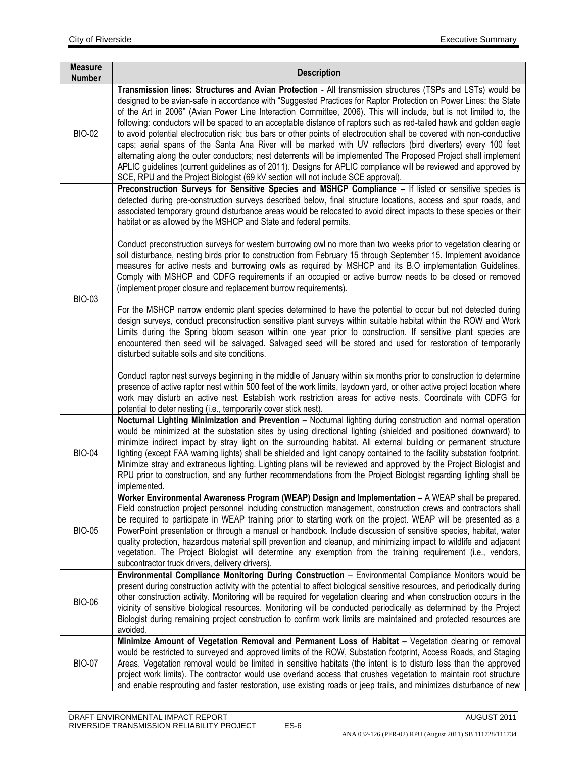| <b>Measure</b><br><b>Number</b> | <b>Description</b>                                                                                                                                                                                                                                                                                                                                                                                                                                                                                                                                                                                                                                                                                                                                                                                                                                                                                                                                                                                                                             |
|---------------------------------|------------------------------------------------------------------------------------------------------------------------------------------------------------------------------------------------------------------------------------------------------------------------------------------------------------------------------------------------------------------------------------------------------------------------------------------------------------------------------------------------------------------------------------------------------------------------------------------------------------------------------------------------------------------------------------------------------------------------------------------------------------------------------------------------------------------------------------------------------------------------------------------------------------------------------------------------------------------------------------------------------------------------------------------------|
| <b>BIO-02</b>                   | Transmission lines: Structures and Avian Protection - All transmission structures (TSPs and LSTs) would be<br>designed to be avian-safe in accordance with "Suggested Practices for Raptor Protection on Power Lines: the State<br>of the Art in 2006" (Avian Power Line Interaction Committee, 2006). This will include, but is not limited to, the<br>following: conductors will be spaced to an acceptable distance of raptors such as red-tailed hawk and golden eagle<br>to avoid potential electrocution risk; bus bars or other points of electrocution shall be covered with non-conductive<br>caps; aerial spans of the Santa Ana River will be marked with UV reflectors (bird diverters) every 100 feet<br>alternating along the outer conductors; nest deterrents will be implemented The Proposed Project shall implement<br>APLIC guidelines (current guidelines as of 2011). Designs for APLIC compliance will be reviewed and approved by<br>SCE, RPU and the Project Biologist (69 kV section will not include SCE approval). |
| <b>BIO-03</b>                   | Preconstruction Surveys for Sensitive Species and MSHCP Compliance - If listed or sensitive species is<br>detected during pre-construction surveys described below, final structure locations, access and spur roads, and<br>associated temporary ground disturbance areas would be relocated to avoid direct impacts to these species or their<br>habitat or as allowed by the MSHCP and State and federal permits.<br>Conduct preconstruction surveys for western burrowing owl no more than two weeks prior to vegetation clearing or<br>soil disturbance, nesting birds prior to construction from February 15 through September 15. Implement avoidance<br>measures for active nests and burrowing owls as required by MSHCP and its B.O implementation Guidelines.<br>Comply with MSHCP and CDFG requirements if an occupied or active burrow needs to be closed or removed<br>(implement proper closure and replacement burrow requirements).                                                                                           |
|                                 | For the MSHCP narrow endemic plant species determined to have the potential to occur but not detected during<br>design surveys, conduct preconstruction sensitive plant surveys within suitable habitat within the ROW and Work<br>Limits during the Spring bloom season within one year prior to construction. If sensitive plant species are<br>encountered then seed will be salvaged. Salvaged seed will be stored and used for restoration of temporarily<br>disturbed suitable soils and site conditions.<br>Conduct raptor nest surveys beginning in the middle of January within six months prior to construction to determine<br>presence of active raptor nest within 500 feet of the work limits, laydown yard, or other active project location where                                                                                                                                                                                                                                                                              |
| <b>BIO-04</b>                   | work may disturb an active nest. Establish work restriction areas for active nests. Coordinate with CDFG for<br>potential to deter nesting (i.e., temporarily cover stick nest).<br>Nocturnal Lighting Minimization and Prevention - Nocturnal lighting during construction and normal operation<br>would be minimized at the substation sites by using directional lighting (shielded and positioned downward) to<br>minimize indirect impact by stray light on the surrounding habitat. All external building or permanent structure<br>lighting (except FAA warning lights) shall be shielded and light canopy contained to the facility substation footprint.<br>Minimize stray and extraneous lighting. Lighting plans will be reviewed and approved by the Project Biologist and<br>RPU prior to construction, and any further recommendations from the Project Biologist regarding lighting shall be<br>implemented.                                                                                                                    |
| <b>BIO-05</b>                   | Worker Environmental Awareness Program (WEAP) Design and Implementation - A WEAP shall be prepared.<br>Field construction project personnel including construction management, construction crews and contractors shall<br>be required to participate in WEAP training prior to starting work on the project. WEAP will be presented as a<br>PowerPoint presentation or through a manual or handbook. Include discussion of sensitive species, habitat, water<br>quality protection, hazardous material spill prevention and cleanup, and minimizing impact to wildlife and adjacent<br>vegetation. The Project Biologist will determine any exemption from the training requirement (i.e., vendors,<br>subcontractor truck drivers, delivery drivers).                                                                                                                                                                                                                                                                                        |
| <b>BIO-06</b>                   | Environmental Compliance Monitoring During Construction - Environmental Compliance Monitors would be<br>present during construction activity with the potential to affect biological sensitive resources, and periodically during<br>other construction activity. Monitoring will be required for vegetation clearing and when construction occurs in the<br>vicinity of sensitive biological resources. Monitoring will be conducted periodically as determined by the Project<br>Biologist during remaining project construction to confirm work limits are maintained and protected resources are<br>avoided.                                                                                                                                                                                                                                                                                                                                                                                                                               |
| <b>BIO-07</b>                   | Minimize Amount of Vegetation Removal and Permanent Loss of Habitat - Vegetation clearing or removal<br>would be restricted to surveyed and approved limits of the ROW, Substation footprint, Access Roads, and Staging<br>Areas. Vegetation removal would be limited in sensitive habitats (the intent is to disturb less than the approved<br>project work limits). The contractor would use overland access that crushes vegetation to maintain root structure<br>and enable resprouting and faster restoration, use existing roads or jeep trails, and minimizes disturbance of new                                                                                                                                                                                                                                                                                                                                                                                                                                                        |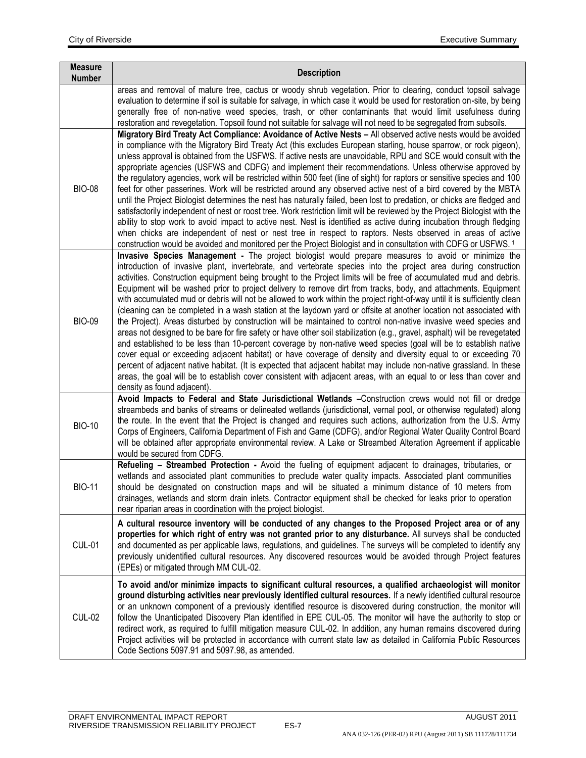| <b>Measure</b><br><b>Number</b> | <b>Description</b>                                                                                                                                                                                                                                                                                                                                                                                                                                                                                                                                                                                                                                                                                                                                                                                                                                                                                                                                                                                                                                                                                                                                                                                                                                                                                                                                                                                                                                                                     |
|---------------------------------|----------------------------------------------------------------------------------------------------------------------------------------------------------------------------------------------------------------------------------------------------------------------------------------------------------------------------------------------------------------------------------------------------------------------------------------------------------------------------------------------------------------------------------------------------------------------------------------------------------------------------------------------------------------------------------------------------------------------------------------------------------------------------------------------------------------------------------------------------------------------------------------------------------------------------------------------------------------------------------------------------------------------------------------------------------------------------------------------------------------------------------------------------------------------------------------------------------------------------------------------------------------------------------------------------------------------------------------------------------------------------------------------------------------------------------------------------------------------------------------|
|                                 | areas and removal of mature tree, cactus or woody shrub vegetation. Prior to clearing, conduct topsoil salvage<br>evaluation to determine if soil is suitable for salvage, in which case it would be used for restoration on-site, by being<br>generally free of non-native weed species, trash, or other contaminants that would limit usefulness during<br>restoration and revegetation. Topsoil found not suitable for salvage will not need to be segregated from subsoils.                                                                                                                                                                                                                                                                                                                                                                                                                                                                                                                                                                                                                                                                                                                                                                                                                                                                                                                                                                                                        |
| <b>BIO-08</b>                   | Migratory Bird Treaty Act Compliance: Avoidance of Active Nests - All observed active nests would be avoided<br>in compliance with the Migratory Bird Treaty Act (this excludes European starling, house sparrow, or rock pigeon),<br>unless approval is obtained from the USFWS. If active nests are unavoidable, RPU and SCE would consult with the<br>appropriate agencies (USFWS and CDFG) and implement their recommendations. Unless otherwise approved by<br>the regulatory agencies, work will be restricted within 500 feet (line of sight) for raptors or sensitive species and 100<br>feet for other passerines. Work will be restricted around any observed active nest of a bird covered by the MBTA<br>until the Project Biologist determines the nest has naturally failed, been lost to predation, or chicks are fledged and<br>satisfactorily independent of nest or roost tree. Work restriction limit will be reviewed by the Project Biologist with the<br>ability to stop work to avoid impact to active nest. Nest is identified as active during incubation through fledging<br>when chicks are independent of nest or nest tree in respect to raptors. Nests observed in areas of active<br>construction would be avoided and monitored per the Project Biologist and in consultation with CDFG or USFWS. 1                                                                                                                                                    |
| <b>BIO-09</b>                   | Invasive Species Management - The project biologist would prepare measures to avoid or minimize the<br>introduction of invasive plant, invertebrate, and vertebrate species into the project area during construction<br>activities. Construction equipment being brought to the Project limits will be free of accumulated mud and debris.<br>Equipment will be washed prior to project delivery to remove dirt from tracks, body, and attachments. Equipment<br>with accumulated mud or debris will not be allowed to work within the project right-of-way until it is sufficiently clean<br>(cleaning can be completed in a wash station at the laydown yard or offsite at another location not associated with<br>the Project). Areas disturbed by construction will be maintained to control non-native invasive weed species and<br>areas not designed to be bare for fire safety or have other soil stabilization (e.g., gravel, asphalt) will be revegetated<br>and established to be less than 10-percent coverage by non-native weed species (goal will be to establish native<br>cover equal or exceeding adjacent habitat) or have coverage of density and diversity equal to or exceeding 70<br>percent of adjacent native habitat. (It is expected that adjacent habitat may include non-native grassland. In these<br>areas, the goal will be to establish cover consistent with adjacent areas, with an equal to or less than cover and<br>density as found adjacent). |
| <b>BIO-10</b>                   | Avoid Impacts to Federal and State Jurisdictional Wetlands -Construction crews would not fill or dredge<br>streambeds and banks of streams or delineated wetlands (jurisdictional, vernal pool, or otherwise regulated) along<br>the route. In the event that the Project is changed and requires such actions, authorization from the U.S. Army<br>Corps of Engineers, California Department of Fish and Game (CDFG), and/or Regional Water Quality Control Board<br>will be obtained after appropriate environmental review. A Lake or Streambed Alteration Agreement if applicable<br>would be secured from CDFG.                                                                                                                                                                                                                                                                                                                                                                                                                                                                                                                                                                                                                                                                                                                                                                                                                                                                   |
| <b>BIO-11</b>                   | Refueling - Streambed Protection - Avoid the fueling of equipment adjacent to drainages, tributaries, or<br>wetlands and associated plant communities to preclude water quality impacts. Associated plant communities<br>should be designated on construction maps and will be situated a minimum distance of 10 meters from<br>drainages, wetlands and storm drain inlets. Contractor equipment shall be checked for leaks prior to operation<br>near riparian areas in coordination with the project biologist.                                                                                                                                                                                                                                                                                                                                                                                                                                                                                                                                                                                                                                                                                                                                                                                                                                                                                                                                                                      |
| <b>CUL-01</b>                   | A cultural resource inventory will be conducted of any changes to the Proposed Project area or of any<br>properties for which right of entry was not granted prior to any disturbance. All surveys shall be conducted<br>and documented as per applicable laws, regulations, and guidelines. The surveys will be completed to identify any<br>previously unidentified cultural resources. Any discovered resources would be avoided through Project features<br>(EPEs) or mitigated through MM CUL-02.                                                                                                                                                                                                                                                                                                                                                                                                                                                                                                                                                                                                                                                                                                                                                                                                                                                                                                                                                                                 |
| <b>CUL-02</b>                   | To avoid and/or minimize impacts to significant cultural resources, a qualified archaeologist will monitor<br>ground disturbing activities near previously identified cultural resources. If a newly identified cultural resource<br>or an unknown component of a previously identified resource is discovered during construction, the monitor will<br>follow the Unanticipated Discovery Plan identified in EPE CUL-05. The monitor will have the authority to stop or<br>redirect work, as required to fulfill mitigation measure CUL-02. In addition, any human remains discovered during<br>Project activities will be protected in accordance with current state law as detailed in California Public Resources<br>Code Sections 5097.91 and 5097.98, as amended.                                                                                                                                                                                                                                                                                                                                                                                                                                                                                                                                                                                                                                                                                                                |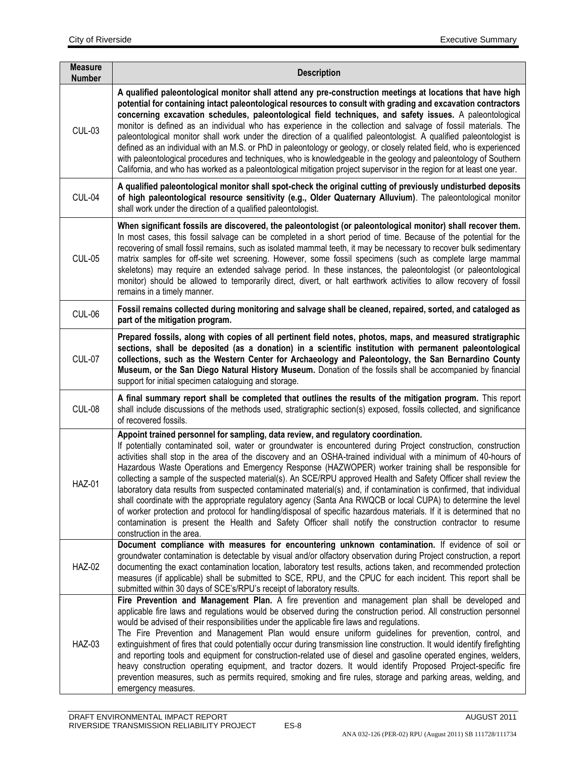| <b>Measure</b><br><b>Number</b> | <b>Description</b>                                                                                                                                                                                                                                                                                                                                                                                                                                                                                                                                                                                                                                                                                                                                                                                                                                                                                                                                                                                                                                              |  |
|---------------------------------|-----------------------------------------------------------------------------------------------------------------------------------------------------------------------------------------------------------------------------------------------------------------------------------------------------------------------------------------------------------------------------------------------------------------------------------------------------------------------------------------------------------------------------------------------------------------------------------------------------------------------------------------------------------------------------------------------------------------------------------------------------------------------------------------------------------------------------------------------------------------------------------------------------------------------------------------------------------------------------------------------------------------------------------------------------------------|--|
| <b>CUL-03</b>                   | A qualified paleontological monitor shall attend any pre-construction meetings at locations that have high<br>potential for containing intact paleontological resources to consult with grading and excavation contractors<br>concerning excavation schedules, paleontological field techniques, and safety issues. A paleontological<br>monitor is defined as an individual who has experience in the collection and salvage of fossil materials. The<br>paleontological monitor shall work under the direction of a qualified paleontologist. A qualified paleontologist is<br>defined as an individual with an M.S. or PhD in paleontology or geology, or closely related field, who is experienced<br>with paleontological procedures and techniques, who is knowledgeable in the geology and paleontology of Southern<br>California, and who has worked as a paleontological mitigation project supervisor in the region for at least one year.                                                                                                            |  |
| CUL-04                          | A qualified paleontological monitor shall spot-check the original cutting of previously undisturbed deposits<br>of high paleontological resource sensitivity (e.g., Older Quaternary Alluvium). The paleontological monitor<br>shall work under the direction of a qualified paleontologist.                                                                                                                                                                                                                                                                                                                                                                                                                                                                                                                                                                                                                                                                                                                                                                    |  |
| <b>CUL-05</b>                   | When significant fossils are discovered, the paleontologist (or paleontological monitor) shall recover them.<br>In most cases, this fossil salvage can be completed in a short period of time. Because of the potential for the<br>recovering of small fossil remains, such as isolated mammal teeth, it may be necessary to recover bulk sedimentary<br>matrix samples for off-site wet screening. However, some fossil specimens (such as complete large mammal<br>skeletons) may require an extended salvage period. In these instances, the paleontologist (or paleontological<br>monitor) should be allowed to temporarily direct, divert, or halt earthwork activities to allow recovery of fossil<br>remains in a timely manner.                                                                                                                                                                                                                                                                                                                         |  |
| CUL-06                          | Fossil remains collected during monitoring and salvage shall be cleaned, repaired, sorted, and cataloged as<br>part of the mitigation program.                                                                                                                                                                                                                                                                                                                                                                                                                                                                                                                                                                                                                                                                                                                                                                                                                                                                                                                  |  |
| <b>CUL-07</b>                   | Prepared fossils, along with copies of all pertinent field notes, photos, maps, and measured stratigraphic<br>sections, shall be deposited (as a donation) in a scientific institution with permanent paleontological<br>collections, such as the Western Center for Archaeology and Paleontology, the San Bernardino County<br>Museum, or the San Diego Natural History Museum. Donation of the fossils shall be accompanied by financial<br>support for initial specimen cataloguing and storage.                                                                                                                                                                                                                                                                                                                                                                                                                                                                                                                                                             |  |
| CUL-08                          | A final summary report shall be completed that outlines the results of the mitigation program. This report<br>shall include discussions of the methods used, stratigraphic section(s) exposed, fossils collected, and significance<br>of recovered fossils.                                                                                                                                                                                                                                                                                                                                                                                                                                                                                                                                                                                                                                                                                                                                                                                                     |  |
| <b>HAZ-01</b>                   | Appoint trained personnel for sampling, data review, and regulatory coordination.<br>If potentially contaminated soil, water or groundwater is encountered during Project construction, construction<br>activities shall stop in the area of the discovery and an OSHA-trained individual with a minimum of 40-hours of<br>Hazardous Waste Operations and Emergency Response (HAZWOPER) worker training shall be responsible for<br>collecting a sample of the suspected material(s). An SCE/RPU approved Health and Safety Officer shall review the<br>laboratory data results from suspected contaminated material(s) and, if contamination is confirmed, that individual<br>shall coordinate with the appropriate regulatory agency (Santa Ana RWQCB or local CUPA) to determine the level<br>of worker protection and protocol for handling/disposal of specific hazardous materials. If it is determined that no<br>contamination is present the Health and Safety Officer shall notify the construction contractor to resume<br>construction in the area. |  |
| <b>HAZ-02</b>                   | Document compliance with measures for encountering unknown contamination. If evidence of soil or<br>groundwater contamination is detectable by visual and/or olfactory observation during Project construction, a report<br>documenting the exact contamination location, laboratory test results, actions taken, and recommended protection<br>measures (if applicable) shall be submitted to SCE, RPU, and the CPUC for each incident. This report shall be<br>submitted within 30 days of SCE's/RPU's receipt of laboratory results.                                                                                                                                                                                                                                                                                                                                                                                                                                                                                                                         |  |
| HAZ-03                          | Fire Prevention and Management Plan. A fire prevention and management plan shall be developed and<br>applicable fire laws and regulations would be observed during the construction period. All construction personnel<br>would be advised of their responsibilities under the applicable fire laws and regulations.<br>The Fire Prevention and Management Plan would ensure uniform guidelines for prevention, control, and<br>extinguishment of fires that could potentially occur during transmission line construction. It would identify firefighting<br>and reporting tools and equipment for construction-related use of diesel and gasoline operated engines, welders,<br>heavy construction operating equipment, and tractor dozers. It would identify Proposed Project-specific fire<br>prevention measures, such as permits required, smoking and fire rules, storage and parking areas, welding, and<br>emergency measures.                                                                                                                         |  |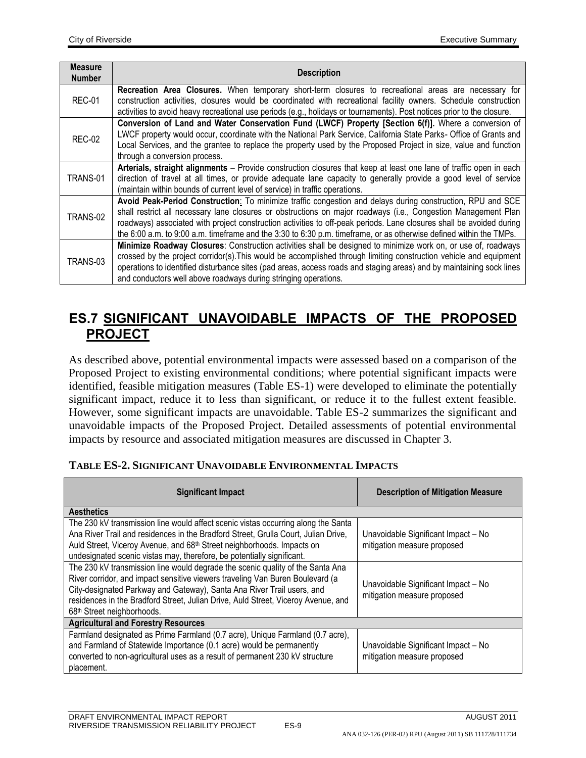| <b>Measure</b><br><b>Number</b> | <b>Description</b>                                                                                                                                                                                                                                                                                                                                                                                                                                                         |  |
|---------------------------------|----------------------------------------------------------------------------------------------------------------------------------------------------------------------------------------------------------------------------------------------------------------------------------------------------------------------------------------------------------------------------------------------------------------------------------------------------------------------------|--|
| <b>REC-01</b>                   | Recreation Area Closures. When temporary short-term closures to recreational areas are necessary for<br>construction activities, closures would be coordinated with recreational facility owners. Schedule construction<br>activities to avoid heavy recreational use periods (e.g., holidays or tournaments). Post notices prior to the closure.                                                                                                                          |  |
| <b>REC-02</b>                   | Conversion of Land and Water Conservation Fund (LWCF) Property [Section 6(f)]. Where a conversion of<br>LWCF property would occur, coordinate with the National Park Service, California State Parks-Office of Grants and<br>Local Services, and the grantee to replace the property used by the Proposed Project in size, value and function<br>through a conversion process.                                                                                             |  |
| TRANS-01                        | Arterials, straight alignments - Provide construction closures that keep at least one lane of traffic open in each<br>direction of travel at all times, or provide adequate lane capacity to generally provide a good level of service<br>(maintain within bounds of current level of service) in traffic operations.                                                                                                                                                      |  |
| TRANS-02                        | Avoid Peak-Period Construction: To minimize traffic congestion and delays during construction, RPU and SCE<br>shall restrict all necessary lane closures or obstructions on major roadways (i.e., Congestion Management Plan<br>roadways) associated with project construction activities to off-peak periods. Lane closures shall be avoided during<br>the 6:00 a.m. to 9:00 a.m. timeframe and the 3:30 to 6:30 p.m. timeframe, or as otherwise defined within the TMPs. |  |
| TRANS-03                        | Minimize Roadway Closures: Construction activities shall be designed to minimize work on, or use of, roadways<br>crossed by the project corridor(s). This would be accomplished through limiting construction vehicle and equipment<br>operations to identified disturbance sites (pad areas, access roads and staging areas) and by maintaining sock lines<br>and conductors well above roadways during stringing operations.                                             |  |

### **ES.7 SIGNIFICANT UNAVOIDABLE IMPACTS OF THE PROPOSED PROJECT**

As described above, potential environmental impacts were assessed based on a comparison of the Proposed Project to existing environmental conditions; where potential significant impacts were identified, feasible mitigation measures (Table ES-1) were developed to eliminate the potentially significant impact, reduce it to less than significant, or reduce it to the fullest extent feasible. However, some significant impacts are unavoidable. Table ES-2 summarizes the significant and unavoidable impacts of the Proposed Project. Detailed assessments of potential environmental impacts by resource and associated mitigation measures are discussed in Chapter 3.

| TADLE E9-2. SIGNIFICANT UNAVOIDADLE ENVIRONMENTAL IMFACTS                                                                                                                                                                                                                                                                                                                |                                                                    |  |  |
|--------------------------------------------------------------------------------------------------------------------------------------------------------------------------------------------------------------------------------------------------------------------------------------------------------------------------------------------------------------------------|--------------------------------------------------------------------|--|--|
| <b>Significant Impact</b>                                                                                                                                                                                                                                                                                                                                                | <b>Description of Mitigation Measure</b>                           |  |  |
| <b>Aesthetics</b>                                                                                                                                                                                                                                                                                                                                                        |                                                                    |  |  |
| The 230 kV transmission line would affect scenic vistas occurring along the Santa<br>Ana River Trail and residences in the Bradford Street, Grulla Court, Julian Drive,<br>Auld Street, Viceroy Avenue, and 68 <sup>th</sup> Street neighborhoods. Impacts on<br>undesignated scenic vistas may, therefore, be potentially significant.                                  | Unavoidable Significant Impact - No<br>mitigation measure proposed |  |  |
| The 230 kV transmission line would degrade the scenic quality of the Santa Ana<br>River corridor, and impact sensitive viewers traveling Van Buren Boulevard (a<br>City-designated Parkway and Gateway), Santa Ana River Trail users, and<br>residences in the Bradford Street, Julian Drive, Auld Street, Viceroy Avenue, and<br>68 <sup>th</sup> Street neighborhoods. | Unavoidable Significant Impact - No<br>mitigation measure proposed |  |  |
| <b>Agricultural and Forestry Resources</b>                                                                                                                                                                                                                                                                                                                               |                                                                    |  |  |
| Farmland designated as Prime Farmland (0.7 acre), Unique Farmland (0.7 acre),<br>and Farmland of Statewide Importance (0.1 acre) would be permanently<br>converted to non-agricultural uses as a result of permanent 230 kV structure<br>placement.                                                                                                                      | Unavoidable Significant Impact - No<br>mitigation measure proposed |  |  |

#### **TABLE ES-2. SIGNIFICANT UNAVOIDABLE ENVIRONMENTAL IMPACTS**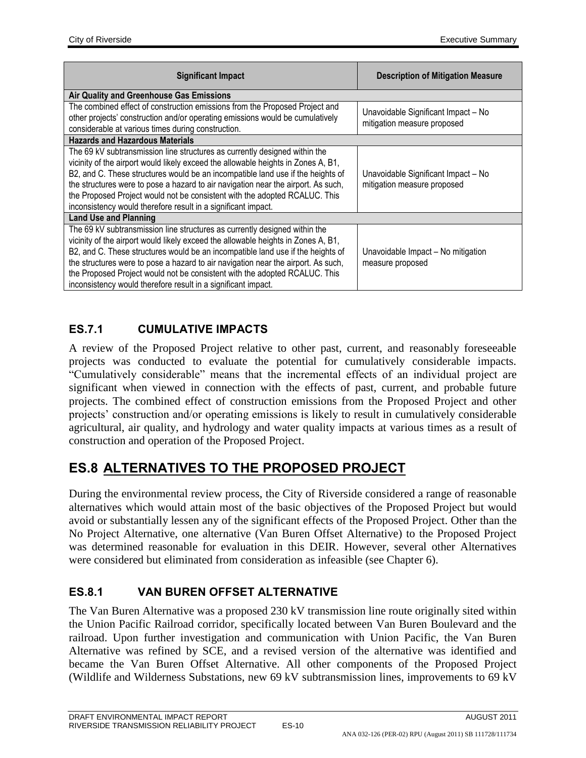| <b>Significant Impact</b>                                                                                                                                                                                                                                                                                                                                                                                                                                                              | <b>Description of Mitigation Measure</b>                           |  |  |  |
|----------------------------------------------------------------------------------------------------------------------------------------------------------------------------------------------------------------------------------------------------------------------------------------------------------------------------------------------------------------------------------------------------------------------------------------------------------------------------------------|--------------------------------------------------------------------|--|--|--|
| Air Quality and Greenhouse Gas Emissions                                                                                                                                                                                                                                                                                                                                                                                                                                               |                                                                    |  |  |  |
| The combined effect of construction emissions from the Proposed Project and<br>other projects' construction and/or operating emissions would be cumulatively<br>considerable at various times during construction.                                                                                                                                                                                                                                                                     | Unavoidable Significant Impact - No<br>mitigation measure proposed |  |  |  |
| <b>Hazards and Hazardous Materials</b>                                                                                                                                                                                                                                                                                                                                                                                                                                                 |                                                                    |  |  |  |
| The 69 kV subtransmission line structures as currently designed within the<br>vicinity of the airport would likely exceed the allowable heights in Zones A, B1,<br>B2, and C. These structures would be an incompatible land use if the heights of<br>the structures were to pose a hazard to air navigation near the airport. As such,<br>the Proposed Project would not be consistent with the adopted RCALUC. This<br>inconsistency would therefore result in a significant impact. | Unavoidable Significant Impact - No<br>mitigation measure proposed |  |  |  |
| <b>Land Use and Planning</b>                                                                                                                                                                                                                                                                                                                                                                                                                                                           |                                                                    |  |  |  |
| The 69 kV subtransmission line structures as currently designed within the<br>vicinity of the airport would likely exceed the allowable heights in Zones A, B1,<br>B2, and C. These structures would be an incompatible land use if the heights of<br>the structures were to pose a hazard to air navigation near the airport. As such,<br>the Proposed Project would not be consistent with the adopted RCALUC. This<br>inconsistency would therefore result in a significant impact. | Unavoidable Impact - No mitigation<br>measure proposed             |  |  |  |

### **ES.7.1 CUMULATIVE IMPACTS**

A review of the Proposed Project relative to other past, current, and reasonably foreseeable projects was conducted to evaluate the potential for cumulatively considerable impacts. "Cumulatively considerable" means that the incremental effects of an individual project are significant when viewed in connection with the effects of past, current, and probable future projects. The combined effect of construction emissions from the Proposed Project and other projects' construction and/or operating emissions is likely to result in cumulatively considerable agricultural, air quality, and hydrology and water quality impacts at various times as a result of construction and operation of the Proposed Project.

# **ES.8 ALTERNATIVES TO THE PROPOSED PROJECT**

During the environmental review process, the City of Riverside considered a range of reasonable alternatives which would attain most of the basic objectives of the Proposed Project but would avoid or substantially lessen any of the significant effects of the Proposed Project. Other than the No Project Alternative, one alternative (Van Buren Offset Alternative) to the Proposed Project was determined reasonable for evaluation in this DEIR. However, several other Alternatives were considered but eliminated from consideration as infeasible (see Chapter 6).

### **ES.8.1 VAN BUREN OFFSET ALTERNATIVE**

The Van Buren Alternative was a proposed 230 kV transmission line route originally sited within the Union Pacific Railroad corridor, specifically located between Van Buren Boulevard and the railroad. Upon further investigation and communication with Union Pacific, the Van Buren Alternative was refined by SCE, and a revised version of the alternative was identified and became the Van Buren Offset Alternative. All other components of the Proposed Project (Wildlife and Wilderness Substations, new 69 kV subtransmission lines, improvements to 69 kV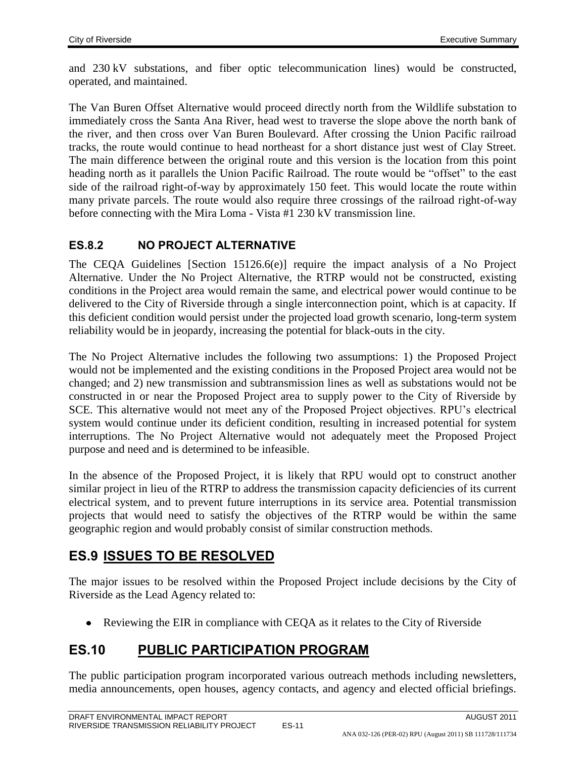and 230 kV substations, and fiber optic telecommunication lines) would be constructed, operated, and maintained.

The Van Buren Offset Alternative would proceed directly north from the Wildlife substation to immediately cross the Santa Ana River, head west to traverse the slope above the north bank of the river, and then cross over Van Buren Boulevard. After crossing the Union Pacific railroad tracks, the route would continue to head northeast for a short distance just west of Clay Street. The main difference between the original route and this version is the location from this point heading north as it parallels the Union Pacific Railroad. The route would be "offset" to the east side of the railroad right-of-way by approximately 150 feet. This would locate the route within many private parcels. The route would also require three crossings of the railroad right-of-way before connecting with the Mira Loma - Vista #1 230 kV transmission line.

#### **ES.8.2 NO PROJECT ALTERNATIVE**

The CEQA Guidelines [Section 15126.6(e)] require the impact analysis of a No Project Alternative. Under the No Project Alternative, the RTRP would not be constructed, existing conditions in the Project area would remain the same, and electrical power would continue to be delivered to the City of Riverside through a single interconnection point, which is at capacity. If this deficient condition would persist under the projected load growth scenario, long-term system reliability would be in jeopardy, increasing the potential for black-outs in the city.

The No Project Alternative includes the following two assumptions: 1) the Proposed Project would not be implemented and the existing conditions in the Proposed Project area would not be changed; and 2) new transmission and subtransmission lines as well as substations would not be constructed in or near the Proposed Project area to supply power to the City of Riverside by SCE. This alternative would not meet any of the Proposed Project objectives. RPU's electrical system would continue under its deficient condition, resulting in increased potential for system interruptions. The No Project Alternative would not adequately meet the Proposed Project purpose and need and is determined to be infeasible.

In the absence of the Proposed Project, it is likely that RPU would opt to construct another similar project in lieu of the RTRP to address the transmission capacity deficiencies of its current electrical system, and to prevent future interruptions in its service area. Potential transmission projects that would need to satisfy the objectives of the RTRP would be within the same geographic region and would probably consist of similar construction methods.

## **ES.9 ISSUES TO BE RESOLVED**

The major issues to be resolved within the Proposed Project include decisions by the City of Riverside as the Lead Agency related to:

• Reviewing the EIR in compliance with CEQA as it relates to the City of Riverside

### **ES.10 PUBLIC PARTICIPATION PROGRAM**

The public participation program incorporated various outreach methods including newsletters, media announcements, open houses, agency contacts, and agency and elected official briefings.